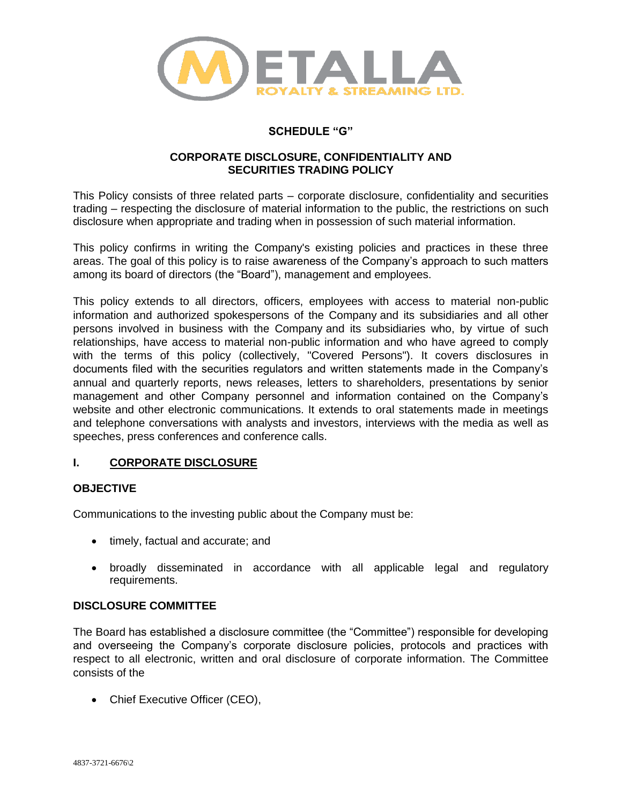

# **SCHEDULE "G"**

## **CORPORATE DISCLOSURE, CONFIDENTIALITY AND SECURITIES TRADING POLICY**

This Policy consists of three related parts – corporate disclosure, confidentiality and securities trading – respecting the disclosure of material information to the public, the restrictions on such disclosure when appropriate and trading when in possession of such material information.

This policy confirms in writing the Company's existing policies and practices in these three areas. The goal of this policy is to raise awareness of the Company's approach to such matters among its board of directors (the "Board"), management and employees.

This policy extends to all directors, officers, employees with access to material non-public information and authorized spokespersons of the Company and its subsidiaries and all other persons involved in business with the Company and its subsidiaries who, by virtue of such relationships, have access to material non-public information and who have agreed to comply with the terms of this policy (collectively, "Covered Persons"). It covers disclosures in documents filed with the securities regulators and written statements made in the Company's annual and quarterly reports, news releases, letters to shareholders, presentations by senior management and other Company personnel and information contained on the Company's website and other electronic communications. It extends to oral statements made in meetings and telephone conversations with analysts and investors, interviews with the media as well as speeches, press conferences and conference calls.

## **I. CORPORATE DISCLOSURE**

## **OBJECTIVE**

Communications to the investing public about the Company must be:

- timely, factual and accurate; and
- broadly disseminated in accordance with all applicable legal and regulatory requirements.

#### **DISCLOSURE COMMITTEE**

The Board has established a disclosure committee (the "Committee") responsible for developing and overseeing the Company's corporate disclosure policies, protocols and practices with respect to all electronic, written and oral disclosure of corporate information. The Committee consists of the

• Chief Executive Officer (CEO),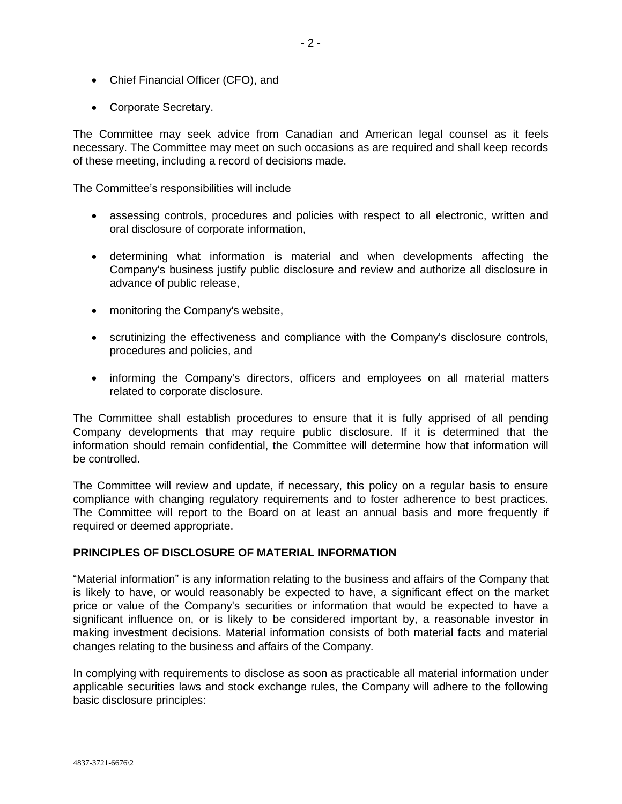- Chief Financial Officer (CFO), and
- Corporate Secretary.

The Committee may seek advice from Canadian and American legal counsel as it feels necessary. The Committee may meet on such occasions as are required and shall keep records of these meeting, including a record of decisions made.

The Committee's responsibilities will include

- assessing controls, procedures and policies with respect to all electronic, written and oral disclosure of corporate information,
- determining what information is material and when developments affecting the Company's business justify public disclosure and review and authorize all disclosure in advance of public release,
- monitoring the Company's website,
- scrutinizing the effectiveness and compliance with the Company's disclosure controls, procedures and policies, and
- informing the Company's directors, officers and employees on all material matters related to corporate disclosure.

The Committee shall establish procedures to ensure that it is fully apprised of all pending Company developments that may require public disclosure. If it is determined that the information should remain confidential, the Committee will determine how that information will be controlled.

The Committee will review and update, if necessary, this policy on a regular basis to ensure compliance with changing regulatory requirements and to foster adherence to best practices. The Committee will report to the Board on at least an annual basis and more frequently if required or deemed appropriate.

## **PRINCIPLES OF DISCLOSURE OF MATERIAL INFORMATION**

"Material information" is any information relating to the business and affairs of the Company that is likely to have, or would reasonably be expected to have, a significant effect on the market price or value of the Company's securities or information that would be expected to have a significant influence on, or is likely to be considered important by, a reasonable investor in making investment decisions. Material information consists of both material facts and material changes relating to the business and affairs of the Company.

In complying with requirements to disclose as soon as practicable all material information under applicable securities laws and stock exchange rules, the Company will adhere to the following basic disclosure principles: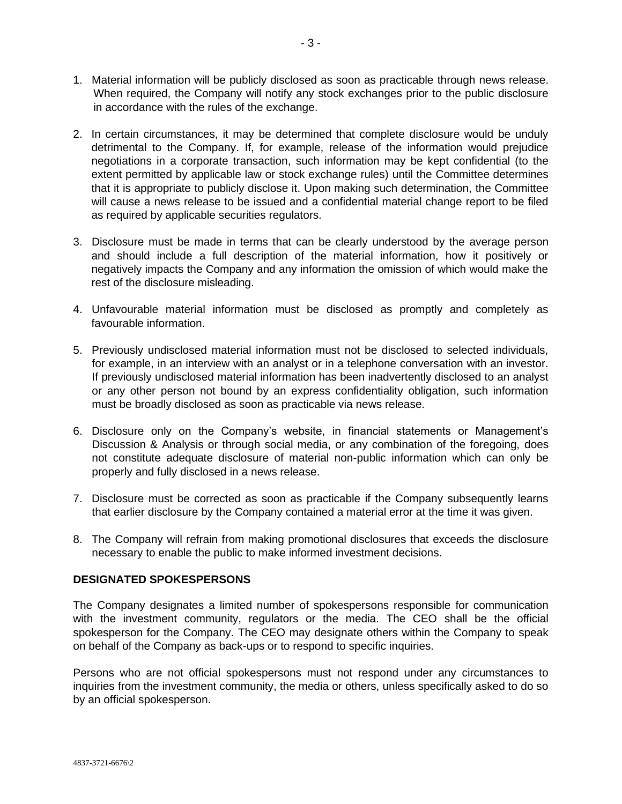- 1. Material information will be publicly disclosed as soon as practicable through news release. When required, the Company will notify any stock exchanges prior to the public disclosure in accordance with the rules of the exchange.
- 2. In certain circumstances, it may be determined that complete disclosure would be unduly detrimental to the Company. If, for example, release of the information would prejudice negotiations in a corporate transaction, such information may be kept confidential (to the extent permitted by applicable law or stock exchange rules) until the Committee determines that it is appropriate to publicly disclose it. Upon making such determination, the Committee will cause a news release to be issued and a confidential material change report to be filed as required by applicable securities regulators.
- 3. Disclosure must be made in terms that can be clearly understood by the average person and should include a full description of the material information, how it positively or negatively impacts the Company and any information the omission of which would make the rest of the disclosure misleading.
- 4. Unfavourable material information must be disclosed as promptly and completely as favourable information.
- 5. Previously undisclosed material information must not be disclosed to selected individuals, for example, in an interview with an analyst or in a telephone conversation with an investor. If previously undisclosed material information has been inadvertently disclosed to an analyst or any other person not bound by an express confidentiality obligation, such information must be broadly disclosed as soon as practicable via news release.
- 6. Disclosure only on the Company's website, in financial statements or Management's Discussion & Analysis or through social media, or any combination of the foregoing, does not constitute adequate disclosure of material non-public information which can only be properly and fully disclosed in a news release.
- 7. Disclosure must be corrected as soon as practicable if the Company subsequently learns that earlier disclosure by the Company contained a material error at the time it was given.
- 8. The Company will refrain from making promotional disclosures that exceeds the disclosure necessary to enable the public to make informed investment decisions.

#### **DESIGNATED SPOKESPERSONS**

The Company designates a limited number of spokespersons responsible for communication with the investment community, regulators or the media. The CEO shall be the official spokesperson for the Company. The CEO may designate others within the Company to speak on behalf of the Company as back-ups or to respond to specific inquiries.

Persons who are not official spokespersons must not respond under any circumstances to inquiries from the investment community, the media or others, unless specifically asked to do so by an official spokesperson.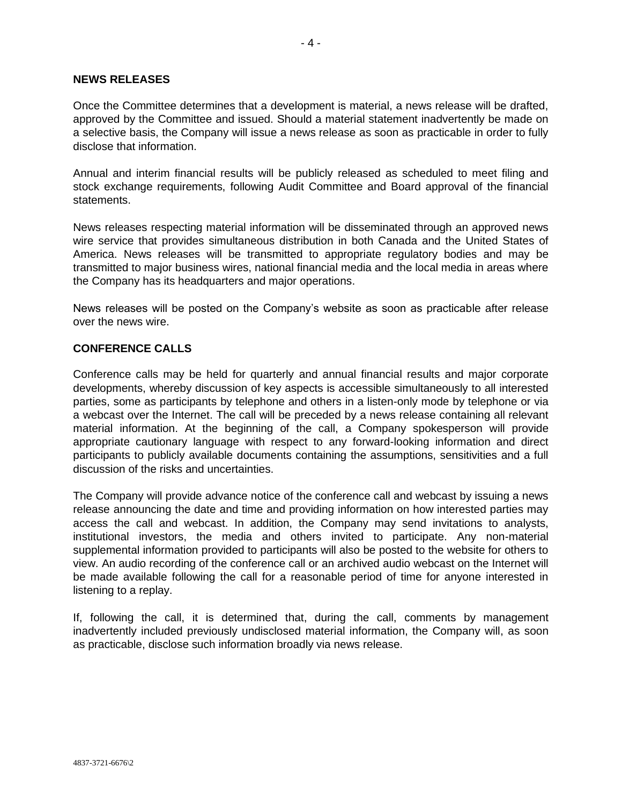#### **NEWS RELEASES**

Once the Committee determines that a development is material, a news release will be drafted, approved by the Committee and issued. Should a material statement inadvertently be made on a selective basis, the Company will issue a news release as soon as practicable in order to fully disclose that information.

Annual and interim financial results will be publicly released as scheduled to meet filing and stock exchange requirements, following Audit Committee and Board approval of the financial statements.

News releases respecting material information will be disseminated through an approved news wire service that provides simultaneous distribution in both Canada and the United States of America. News releases will be transmitted to appropriate regulatory bodies and may be transmitted to major business wires, national financial media and the local media in areas where the Company has its headquarters and major operations.

News releases will be posted on the Company's website as soon as practicable after release over the news wire.

#### **CONFERENCE CALLS**

Conference calls may be held for quarterly and annual financial results and major corporate developments, whereby discussion of key aspects is accessible simultaneously to all interested parties, some as participants by telephone and others in a listen-only mode by telephone or via a webcast over the Internet. The call will be preceded by a news release containing all relevant material information. At the beginning of the call, a Company spokesperson will provide appropriate cautionary language with respect to any forward-looking information and direct participants to publicly available documents containing the assumptions, sensitivities and a full discussion of the risks and uncertainties.

The Company will provide advance notice of the conference call and webcast by issuing a news release announcing the date and time and providing information on how interested parties may access the call and webcast. In addition, the Company may send invitations to analysts, institutional investors, the media and others invited to participate. Any non-material supplemental information provided to participants will also be posted to the website for others to view. An audio recording of the conference call or an archived audio webcast on the Internet will be made available following the call for a reasonable period of time for anyone interested in listening to a replay.

If, following the call, it is determined that, during the call, comments by management inadvertently included previously undisclosed material information, the Company will, as soon as practicable, disclose such information broadly via news release.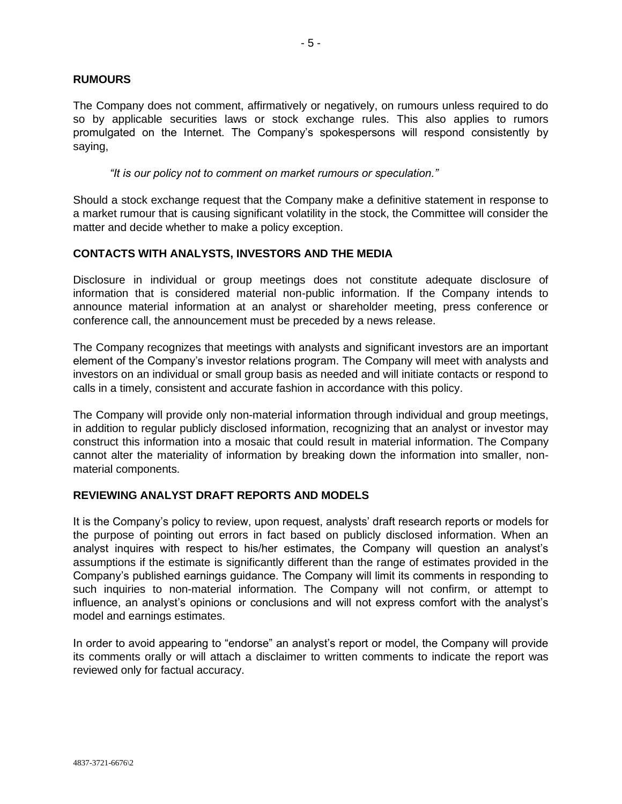## **RUMOURS**

The Company does not comment, affirmatively or negatively, on rumours unless required to do so by applicable securities laws or stock exchange rules. This also applies to rumors promulgated on the Internet. The Company's spokespersons will respond consistently by saying,

*"It is our policy not to comment on market rumours or speculation."* 

Should a stock exchange request that the Company make a definitive statement in response to a market rumour that is causing significant volatility in the stock, the Committee will consider the matter and decide whether to make a policy exception.

## **CONTACTS WITH ANALYSTS, INVESTORS AND THE MEDIA**

Disclosure in individual or group meetings does not constitute adequate disclosure of information that is considered material non-public information. If the Company intends to announce material information at an analyst or shareholder meeting, press conference or conference call, the announcement must be preceded by a news release.

The Company recognizes that meetings with analysts and significant investors are an important element of the Company's investor relations program. The Company will meet with analysts and investors on an individual or small group basis as needed and will initiate contacts or respond to calls in a timely, consistent and accurate fashion in accordance with this policy.

The Company will provide only non-material information through individual and group meetings, in addition to regular publicly disclosed information, recognizing that an analyst or investor may construct this information into a mosaic that could result in material information. The Company cannot alter the materiality of information by breaking down the information into smaller, nonmaterial components.

#### **REVIEWING ANALYST DRAFT REPORTS AND MODELS**

It is the Company's policy to review, upon request, analysts' draft research reports or models for the purpose of pointing out errors in fact based on publicly disclosed information. When an analyst inquires with respect to his/her estimates, the Company will question an analyst's assumptions if the estimate is significantly different than the range of estimates provided in the Company's published earnings guidance. The Company will limit its comments in responding to such inquiries to non-material information. The Company will not confirm, or attempt to influence, an analyst's opinions or conclusions and will not express comfort with the analyst's model and earnings estimates.

In order to avoid appearing to "endorse" an analyst's report or model, the Company will provide its comments orally or will attach a disclaimer to written comments to indicate the report was reviewed only for factual accuracy.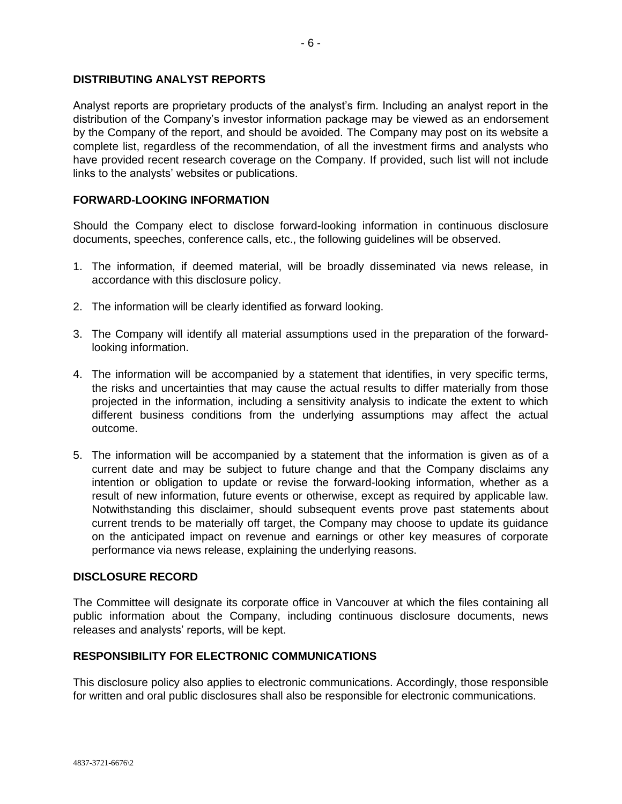## **DISTRIBUTING ANALYST REPORTS**

Analyst reports are proprietary products of the analyst's firm. Including an analyst report in the distribution of the Company's investor information package may be viewed as an endorsement by the Company of the report, and should be avoided. The Company may post on its website a complete list, regardless of the recommendation, of all the investment firms and analysts who have provided recent research coverage on the Company. If provided, such list will not include links to the analysts' websites or publications.

### **FORWARD-LOOKING INFORMATION**

Should the Company elect to disclose forward-looking information in continuous disclosure documents, speeches, conference calls, etc., the following guidelines will be observed.

- 1. The information, if deemed material, will be broadly disseminated via news release, in accordance with this disclosure policy.
- 2. The information will be clearly identified as forward looking.
- 3. The Company will identify all material assumptions used in the preparation of the forwardlooking information.
- 4. The information will be accompanied by a statement that identifies, in very specific terms, the risks and uncertainties that may cause the actual results to differ materially from those projected in the information, including a sensitivity analysis to indicate the extent to which different business conditions from the underlying assumptions may affect the actual outcome.
- 5. The information will be accompanied by a statement that the information is given as of a current date and may be subject to future change and that the Company disclaims any intention or obligation to update or revise the forward-looking information, whether as a result of new information, future events or otherwise, except as required by applicable law. Notwithstanding this disclaimer, should subsequent events prove past statements about current trends to be materially off target, the Company may choose to update its guidance on the anticipated impact on revenue and earnings or other key measures of corporate performance via news release, explaining the underlying reasons.

#### **DISCLOSURE RECORD**

The Committee will designate its corporate office in Vancouver at which the files containing all public information about the Company, including continuous disclosure documents, news releases and analysts' reports, will be kept.

#### **RESPONSIBILITY FOR ELECTRONIC COMMUNICATIONS**

This disclosure policy also applies to electronic communications. Accordingly, those responsible for written and oral public disclosures shall also be responsible for electronic communications.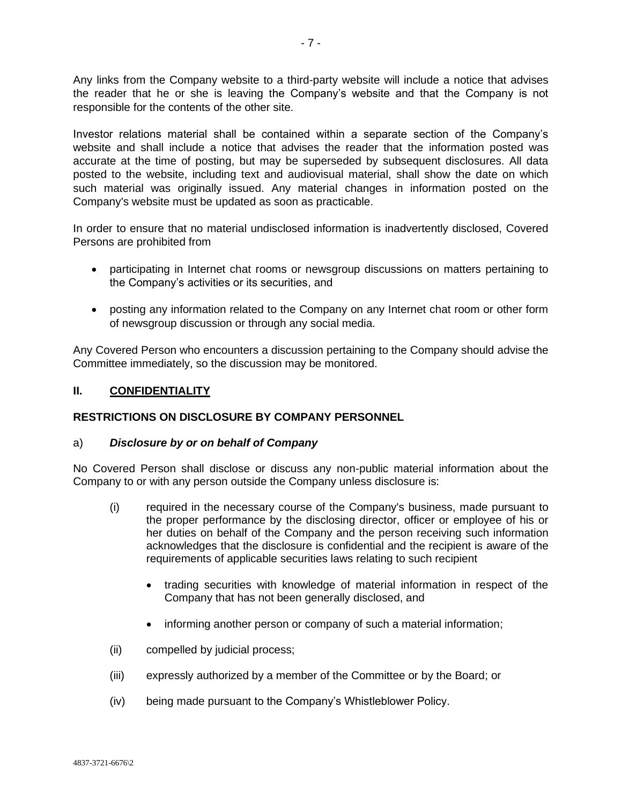Any links from the Company website to a third-party website will include a notice that advises the reader that he or she is leaving the Company's website and that the Company is not responsible for the contents of the other site.

Investor relations material shall be contained within a separate section of the Company's website and shall include a notice that advises the reader that the information posted was accurate at the time of posting, but may be superseded by subsequent disclosures. All data posted to the website, including text and audiovisual material, shall show the date on which such material was originally issued. Any material changes in information posted on the Company's website must be updated as soon as practicable.

In order to ensure that no material undisclosed information is inadvertently disclosed, Covered Persons are prohibited from

- participating in Internet chat rooms or newsgroup discussions on matters pertaining to the Company's activities or its securities, and
- posting any information related to the Company on any Internet chat room or other form of newsgroup discussion or through any social media.

Any Covered Person who encounters a discussion pertaining to the Company should advise the Committee immediately, so the discussion may be monitored.

## **II. CONFIDENTIALITY**

## **RESTRICTIONS ON DISCLOSURE BY COMPANY PERSONNEL**

#### a) *Disclosure by or on behalf of Company*

No Covered Person shall disclose or discuss any non-public material information about the Company to or with any person outside the Company unless disclosure is:

- (i) required in the necessary course of the Company's business, made pursuant to the proper performance by the disclosing director, officer or employee of his or her duties on behalf of the Company and the person receiving such information acknowledges that the disclosure is confidential and the recipient is aware of the requirements of applicable securities laws relating to such recipient
	- trading securities with knowledge of material information in respect of the Company that has not been generally disclosed, and
	- informing another person or company of such a material information;
- (ii) compelled by judicial process;
- (iii) expressly authorized by a member of the Committee or by the Board; or
- (iv) being made pursuant to the Company's Whistleblower Policy.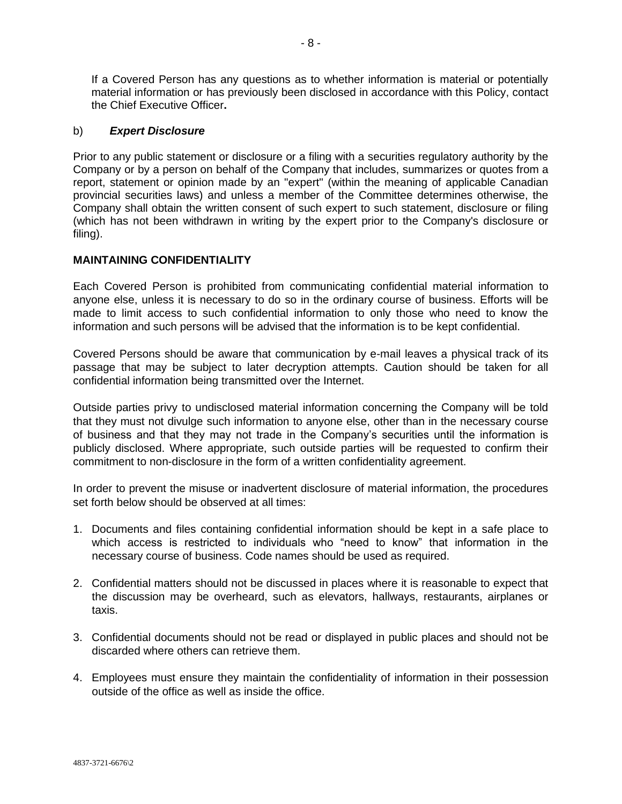If a Covered Person has any questions as to whether information is material or potentially material information or has previously been disclosed in accordance with this Policy, contact the Chief Executive Officer**.**

## b) *Expert Disclosure*

Prior to any public statement or disclosure or a filing with a securities regulatory authority by the Company or by a person on behalf of the Company that includes, summarizes or quotes from a report, statement or opinion made by an "expert" (within the meaning of applicable Canadian provincial securities laws) and unless a member of the Committee determines otherwise, the Company shall obtain the written consent of such expert to such statement, disclosure or filing (which has not been withdrawn in writing by the expert prior to the Company's disclosure or filing).

## **MAINTAINING CONFIDENTIALITY**

Each Covered Person is prohibited from communicating confidential material information to anyone else, unless it is necessary to do so in the ordinary course of business. Efforts will be made to limit access to such confidential information to only those who need to know the information and such persons will be advised that the information is to be kept confidential.

Covered Persons should be aware that communication by e-mail leaves a physical track of its passage that may be subject to later decryption attempts. Caution should be taken for all confidential information being transmitted over the Internet.

Outside parties privy to undisclosed material information concerning the Company will be told that they must not divulge such information to anyone else, other than in the necessary course of business and that they may not trade in the Company's securities until the information is publicly disclosed. Where appropriate, such outside parties will be requested to confirm their commitment to non-disclosure in the form of a written confidentiality agreement.

In order to prevent the misuse or inadvertent disclosure of material information, the procedures set forth below should be observed at all times:

- 1. Documents and files containing confidential information should be kept in a safe place to which access is restricted to individuals who "need to know" that information in the necessary course of business. Code names should be used as required.
- 2. Confidential matters should not be discussed in places where it is reasonable to expect that the discussion may be overheard, such as elevators, hallways, restaurants, airplanes or taxis.
- 3. Confidential documents should not be read or displayed in public places and should not be discarded where others can retrieve them.
- 4. Employees must ensure they maintain the confidentiality of information in their possession outside of the office as well as inside the office.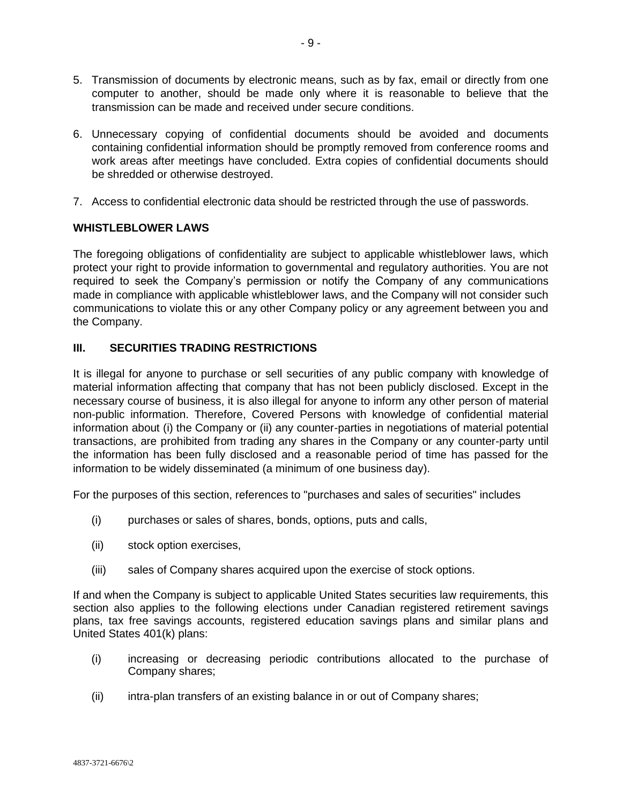- 5. Transmission of documents by electronic means, such as by fax, email or directly from one computer to another, should be made only where it is reasonable to believe that the transmission can be made and received under secure conditions.
- 6. Unnecessary copying of confidential documents should be avoided and documents containing confidential information should be promptly removed from conference rooms and work areas after meetings have concluded. Extra copies of confidential documents should be shredded or otherwise destroyed.
- 7. Access to confidential electronic data should be restricted through the use of passwords.

## **WHISTLEBLOWER LAWS**

The foregoing obligations of confidentiality are subject to applicable whistleblower laws, which protect your right to provide information to governmental and regulatory authorities. You are not required to seek the Company's permission or notify the Company of any communications made in compliance with applicable whistleblower laws, and the Company will not consider such communications to violate this or any other Company policy or any agreement between you and the Company.

## **III. SECURITIES TRADING RESTRICTIONS**

It is illegal for anyone to purchase or sell securities of any public company with knowledge of material information affecting that company that has not been publicly disclosed. Except in the necessary course of business, it is also illegal for anyone to inform any other person of material non-public information. Therefore, Covered Persons with knowledge of confidential material information about (i) the Company or (ii) any counter-parties in negotiations of material potential transactions, are prohibited from trading any shares in the Company or any counter-party until the information has been fully disclosed and a reasonable period of time has passed for the information to be widely disseminated (a minimum of one business day).

For the purposes of this section, references to "purchases and sales of securities" includes

- (i) purchases or sales of shares, bonds, options, puts and calls,
- (ii) stock option exercises,
- (iii) sales of Company shares acquired upon the exercise of stock options.

If and when the Company is subject to applicable United States securities law requirements, this section also applies to the following elections under Canadian registered retirement savings plans, tax free savings accounts, registered education savings plans and similar plans and United States 401(k) plans:

- (i) increasing or decreasing periodic contributions allocated to the purchase of Company shares;
- (ii) intra-plan transfers of an existing balance in or out of Company shares;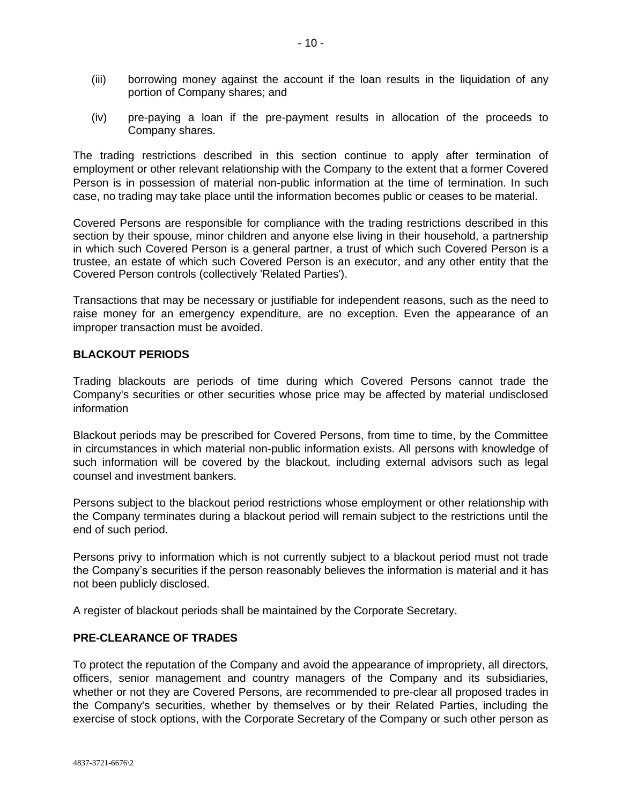- (iii) borrowing money against the account if the loan results in the liquidation of any portion of Company shares; and
- (iv) pre-paying a loan if the pre-payment results in allocation of the proceeds to Company shares.

The trading restrictions described in this section continue to apply after termination of employment or other relevant relationship with the Company to the extent that a former Covered Person is in possession of material non-public information at the time of termination. In such case, no trading may take place until the information becomes public or ceases to be material.

Covered Persons are responsible for compliance with the trading restrictions described in this section by their spouse, minor children and anyone else living in their household, a partnership in which such Covered Person is a general partner, a trust of which such Covered Person is a trustee, an estate of which such Covered Person is an executor, and any other entity that the Covered Person controls (collectively 'Related Parties').

Transactions that may be necessary or justifiable for independent reasons, such as the need to raise money for an emergency expenditure, are no exception. Even the appearance of an improper transaction must be avoided.

## **BLACKOUT PERIODS**

Trading blackouts are periods of time during which Covered Persons cannot trade the Company's securities or other securities whose price may be affected by material undisclosed information

Blackout periods may be prescribed for Covered Persons, from time to time, by the Committee in circumstances in which material non-public information exists. All persons with knowledge of such information will be covered by the blackout, including external advisors such as legal counsel and investment bankers.

Persons subject to the blackout period restrictions whose employment or other relationship with the Company terminates during a blackout period will remain subject to the restrictions until the end of such period.

Persons privy to information which is not currently subject to a blackout period must not trade the Company's securities if the person reasonably believes the information is material and it has not been publicly disclosed.

A register of blackout periods shall be maintained by the Corporate Secretary.

## **PRE-CLEARANCE OF TRADES**

To protect the reputation of the Company and avoid the appearance of impropriety, all directors, officers, senior management and country managers of the Company and its subsidiaries, whether or not they are Covered Persons, are recommended to pre-clear all proposed trades in the Company's securities, whether by themselves or by their Related Parties, including the exercise of stock options, with the Corporate Secretary of the Company or such other person as